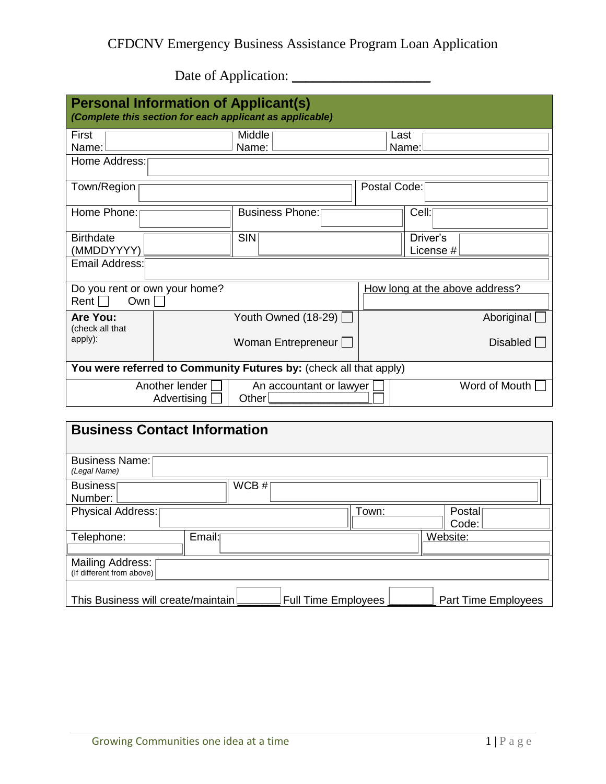## CFDCNV Emergency Business Assistance Program Loan Application

Date of Application: \_\_\_\_\_\_\_\_\_\_\_\_\_\_\_\_\_\_\_\_

| <b>Personal Information of Applicant(s)</b><br>(Complete this section for each applicant as applicable) |                |                        |                                |                       |  |
|---------------------------------------------------------------------------------------------------------|----------------|------------------------|--------------------------------|-----------------------|--|
| First                                                                                                   | Middle         |                        | Last                           |                       |  |
| Name:                                                                                                   | Name:<br>Name: |                        |                                |                       |  |
| Home Address:                                                                                           |                |                        |                                |                       |  |
| Town/Region                                                                                             |                |                        | Postal Code:                   |                       |  |
| Home Phone:                                                                                             |                | <b>Business Phone:</b> |                                | Cell:                 |  |
| <b>Birthdate</b><br>(MMDDYYYY)                                                                          |                | <b>SIN</b>             |                                | Driver's<br>License # |  |
| Email Address:                                                                                          |                |                        |                                |                       |  |
| Do you rent or own your home?                                                                           |                |                        | How long at the above address? |                       |  |
| Rent $\Box$<br>Own $\Box$                                                                               |                |                        |                                |                       |  |
| Are You:<br>(check all that                                                                             |                | Youth Owned $(18-29)$  |                                | Aboriginal            |  |
| apply):                                                                                                 |                | Woman Entrepreneur     |                                | Disabled              |  |
| You were referred to Community Futures by: (check all that apply)                                       |                |                        |                                |                       |  |
| Another lender<br>An accountant or lawyer<br>Other<br>Advertising                                       |                | Word of Mouth          |                                |                       |  |
|                                                                                                         |                |                        |                                |                       |  |

| <b>Business Contact Information</b>                                                             |  |  |  |
|-------------------------------------------------------------------------------------------------|--|--|--|
| <b>Business Name:</b><br>(Legal Name)                                                           |  |  |  |
| WCB#<br>Business<br>Number:                                                                     |  |  |  |
| Town:<br>Physical Address:<br>Postal<br>Code:                                                   |  |  |  |
| Email:<br>Telephone:<br>Website:                                                                |  |  |  |
| Mailing Address:  <br>(If different from above)                                                 |  |  |  |
| This Business will create/maintain!<br><b>Full Time Employees</b><br><b>Part Time Employees</b> |  |  |  |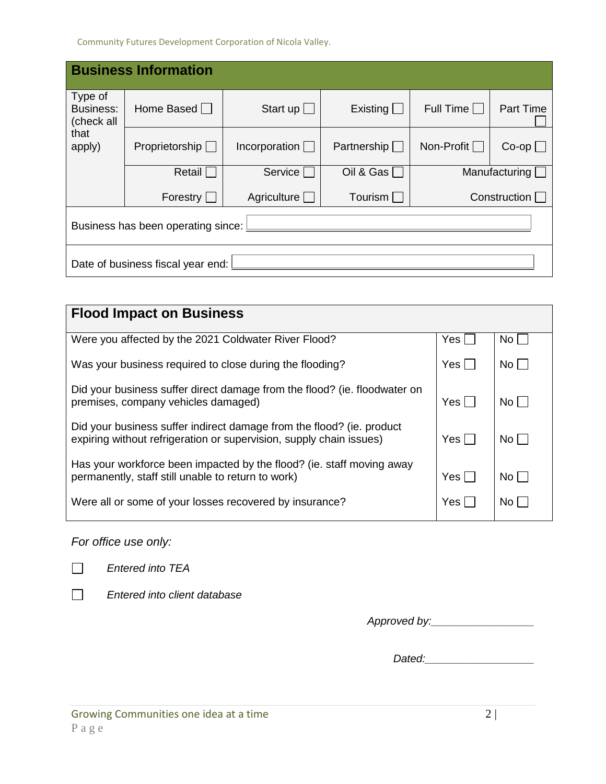Community Futures Development Corporation of Nicola Valley.

| <b>Business Information</b>                                 |                       |                       |                       |                   |                  |
|-------------------------------------------------------------|-----------------------|-----------------------|-----------------------|-------------------|------------------|
| Type of<br><b>Business:</b><br>(check all<br>that<br>apply) | Home Based $\Box$     | Start up $\Box$       | Existing              | Full Time $\Box$  | <b>Part Time</b> |
|                                                             | Proprietorship $\Box$ | Incorporation $\Box$  | Partnership $\square$ | Non-Profit $\Box$ | $Co$ -op $\Box$  |
|                                                             | Retail $\Box$         | Service               | Oil & Gas $\Box$      |                   | Manufacturing    |
|                                                             | Forestry $\square$    | Agriculture $\square$ | Tourism [             |                   | Construction [   |
| Business has been operating since:                          |                       |                       |                       |                   |                  |
| Date of business fiscal year end:                           |                       |                       |                       |                   |                  |

| <b>Flood Impact on Business</b>                                                                                                              |               |                 |
|----------------------------------------------------------------------------------------------------------------------------------------------|---------------|-----------------|
| Were you affected by the 2021 Coldwater River Flood?                                                                                         | Yes $\bigcap$ | No <sub>l</sub> |
| Was your business required to close during the flooding?                                                                                     | Yes $\bigcap$ | $No \cap$       |
| Did your business suffer direct damage from the flood? (ie. floodwater on<br>premises, company vehicles damaged)                             | Yes $\Box$    | No              |
| Did your business suffer indirect damage from the flood? (ie. product<br>expiring without refrigeration or supervision, supply chain issues) | Yes $\Box$    | No $\bigcirc$   |
| Has your workforce been impacted by the flood? (ie. staff moving away<br>permanently, staff still unable to return to work)                  | Yes $\bigcap$ | $No \bigcap$    |
| Were all or some of your losses recovered by insurance?                                                                                      | Yes $\cap$    | No()            |

*For office use only:*

 $\Box$ 

*Entered into TEA* 

 $\Box$ 

*Entered into client database*

*Approved by:\_\_\_\_\_\_\_\_\_\_\_\_\_\_\_\_\_*

*Dated:\_\_\_\_\_\_\_\_\_\_\_\_\_\_\_\_\_\_*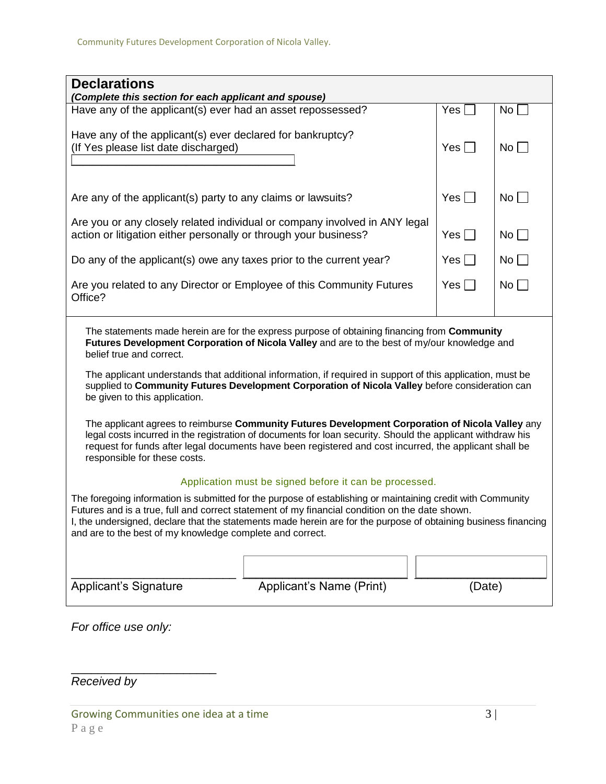| <b>Declarations</b><br>(Complete this section for each applicant and spouse)                                                                                                                                                                                                                                                                                                                  |                          |               |              |  |
|-----------------------------------------------------------------------------------------------------------------------------------------------------------------------------------------------------------------------------------------------------------------------------------------------------------------------------------------------------------------------------------------------|--------------------------|---------------|--------------|--|
| Have any of the applicant(s) ever had an asset repossessed?                                                                                                                                                                                                                                                                                                                                   |                          | Yes $\Box$    | No $\square$ |  |
| Have any of the applicant(s) ever declared for bankruptcy?<br>(If Yes please list date discharged)                                                                                                                                                                                                                                                                                            |                          |               | No           |  |
| Are any of the applicant(s) party to any claims or lawsuits?                                                                                                                                                                                                                                                                                                                                  |                          |               | No           |  |
| Are you or any closely related individual or company involved in ANY legal<br>action or litigation either personally or through your business?                                                                                                                                                                                                                                                |                          |               | No           |  |
| Do any of the applicant(s) owe any taxes prior to the current year?                                                                                                                                                                                                                                                                                                                           |                          | Yes $\square$ | No           |  |
| Are you related to any Director or Employee of this Community Futures<br>Office?                                                                                                                                                                                                                                                                                                              |                          |               | No           |  |
| The statements made herein are for the express purpose of obtaining financing from Community<br>Futures Development Corporation of Nicola Valley and are to the best of my/our knowledge and<br>belief true and correct.                                                                                                                                                                      |                          |               |              |  |
| The applicant understands that additional information, if required in support of this application, must be<br>supplied to Community Futures Development Corporation of Nicola Valley before consideration can<br>be given to this application.                                                                                                                                                |                          |               |              |  |
| The applicant agrees to reimburse Community Futures Development Corporation of Nicola Valley any<br>legal costs incurred in the registration of documents for loan security. Should the applicant withdraw his<br>request for funds after legal documents have been registered and cost incurred, the applicant shall be<br>responsible for these costs.                                      |                          |               |              |  |
| Application must be signed before it can be processed.                                                                                                                                                                                                                                                                                                                                        |                          |               |              |  |
| The foregoing information is submitted for the purpose of establishing or maintaining credit with Community<br>Futures and is a true, full and correct statement of my financial condition on the date shown.<br>I, the undersigned, declare that the statements made herein are for the purpose of obtaining business financing<br>and are to the best of my knowledge complete and correct. |                          |               |              |  |
|                                                                                                                                                                                                                                                                                                                                                                                               |                          |               |              |  |
| <b>Applicant's Signature</b>                                                                                                                                                                                                                                                                                                                                                                  | Applicant's Name (Print) | (Date)        |              |  |

*For office use only:*

\_\_\_\_\_\_\_\_\_\_\_\_\_\_\_\_\_\_\_\_\_\_

*Received by*